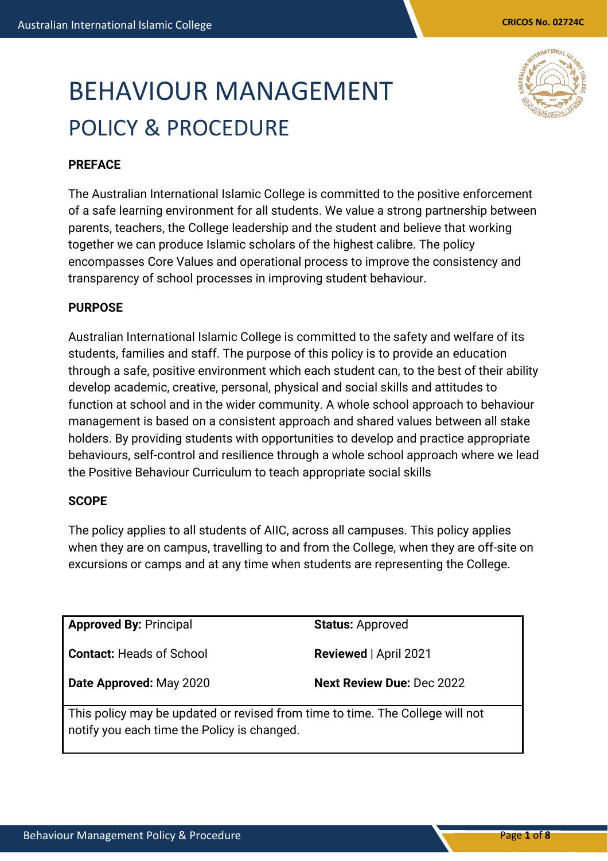# BEHAVIOUR MANAGEMENT POLICY & PROCEDURE



# **PREFACE**

The Australian International Islamic College is committed to the positive enforcement of a safe learning environment for all students. We value a strong partnership between parents, teachers, the College leadership and the student and believe that working together we can produce Islamic scholars of the highest calibre. The policy encompasses Core Values and operational process to improve the consistency and transparency of school processes in improving student behaviour.

## **PURPOSE**

Australian International Islamic College is committed to the safety and welfare of its students, families and staff. The purpose of this policy is to provide an education through a safe, positive environment which each student can, to the best of their ability develop academic, creative, personal, physical and social skills and attitudes to function at school and in the wider community. A whole school approach to behaviour management is based on a consistent approach and shared values between all stake holders. By providing students with opportunities to develop and practice appropriate behaviours, self-control and resilience through a whole school approach where we lead the Positive Behaviour Curriculum to teach appropriate social skills

# **SCOPE**

The policy applies to all students of AIIC, across all campuses. This policy applies when they are on campus, travelling to and from the College, when they are off-site on excursions or camps and at any time when students are representing the College.

**Approved By:** Principal

**Contact:** Heads of School

**Status:** Approved

**Reviewed** | April 2021

**Date Approved:** May 2020

**Next Review Due:** Dec 2022

This policy may be updated or revised from time to time. The College will not notify you each time the Policy is changed.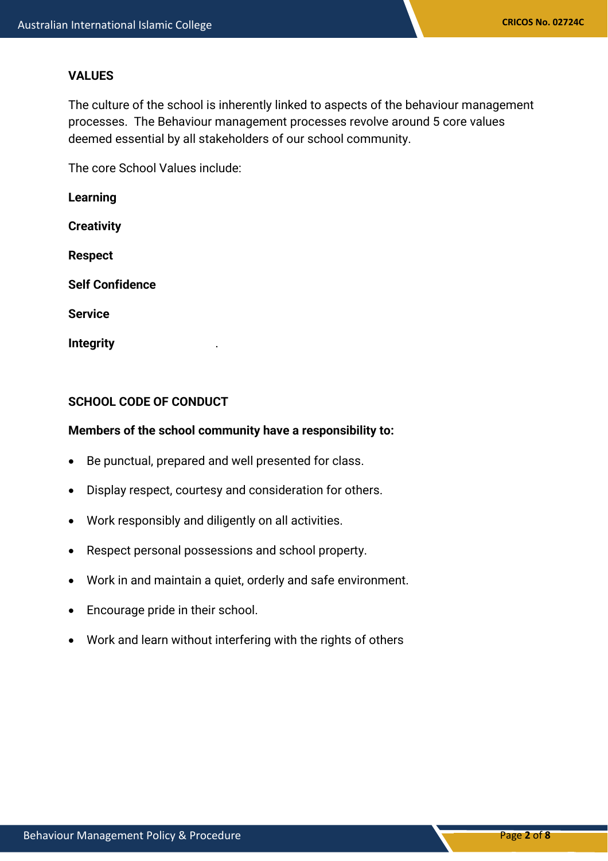#### **VALUES**

The culture of the school is inherently linked to aspects of the behaviour management processes. The Behaviour management processes revolve around 5 core values deemed essential by all stakeholders of our school community.

The core School Values include:

**Learning Creativity Respect Self Confidence**

**Service**

**Integrity** .

## **SCHOOL CODE OF CONDUCT**

#### **Members of the school community have a responsibility to:**

- Be punctual, prepared and well presented for class.
- Display respect, courtesy and consideration for others.
- Work responsibly and diligently on all activities.
- Respect personal possessions and school property.
- Work in and maintain a quiet, orderly and safe environment.
- Encourage pride in their school.
- Work and learn without interfering with the rights of others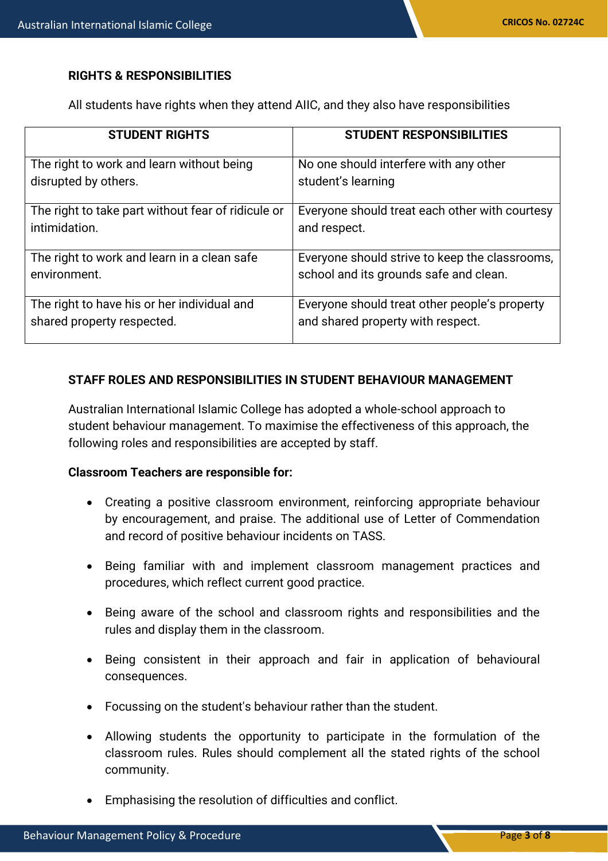# **RIGHTS & RESPONSIBILITIES**

All students have rights when they attend AIIC, and they also have responsibilities

| <b>STUDENT RIGHTS</b>                              | <b>STUDENT RESPONSIBILITIES</b>                |
|----------------------------------------------------|------------------------------------------------|
| The right to work and learn without being          | No one should interfere with any other         |
| disrupted by others.                               | student's learning                             |
| The right to take part without fear of ridicule or | Everyone should treat each other with courtesy |
| intimidation.                                      | and respect.                                   |
| The right to work and learn in a clean safe        | Everyone should strive to keep the classrooms, |
| environment.                                       | school and its grounds safe and clean.         |
| The right to have his or her individual and        | Everyone should treat other people's property  |
| shared property respected.                         | and shared property with respect.              |

# **STAFF ROLES AND RESPONSIBILITIES IN STUDENT BEHAVIOUR MANAGEMENT**

Australian International Islamic College has adopted a whole-school approach to student behaviour management. To maximise the effectiveness of this approach, the following roles and responsibilities are accepted by staff.

## **Classroom Teachers are responsible for:**

- Creating a positive classroom environment, reinforcing appropriate behaviour by encouragement, and praise. The additional use of Letter of Commendation and record of positive behaviour incidents on TASS.
- Being familiar with and implement classroom management practices and procedures, which reflect current good practice.
- Being aware of the school and classroom rights and responsibilities and the rules and display them in the classroom.
- Being consistent in their approach and fair in application of behavioural consequences.
- Focussing on the student's behaviour rather than the student.
- Allowing students the opportunity to participate in the formulation of the classroom rules. Rules should complement all the stated rights of the school community.
- Emphasising the resolution of difficulties and conflict.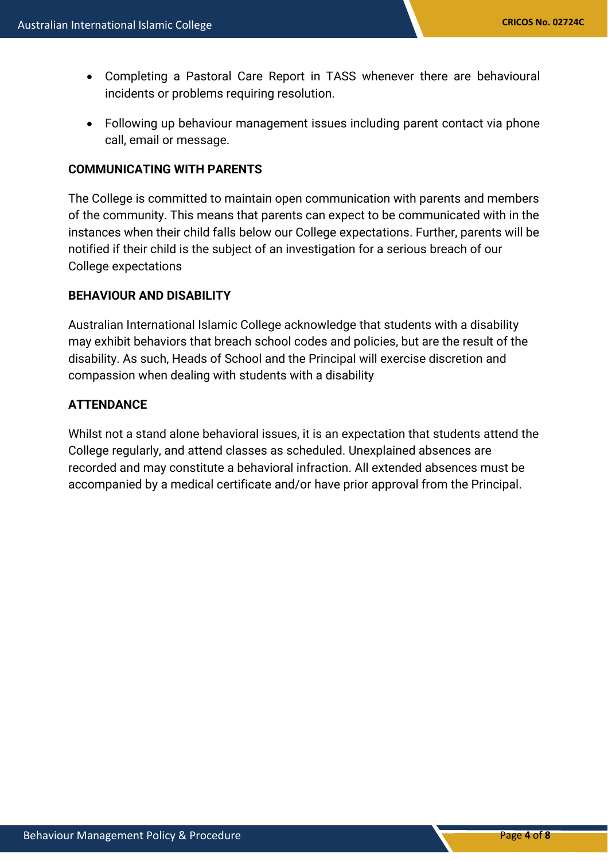- Completing a Pastoral Care Report in TASS whenever there are behavioural incidents or problems requiring resolution.
- Following up behaviour management issues including parent contact via phone call, email or message.

#### **COMMUNICATING WITH PARENTS**

The College is committed to maintain open communication with parents and members of the community. This means that parents can expect to be communicated with in the instances when their child falls below our College expectations. Further, parents will be notified if their child is the subject of an investigation for a serious breach of our College expectations

#### **BEHAVIOUR AND DISABILITY**

Australian International Islamic College acknowledge that students with a disability may exhibit behaviors that breach school codes and policies, but are the result of the disability. As such, Heads of School and the Principal will exercise discretion and compassion when dealing with students with a disability

# **ATTENDANCE**

Whilst not a stand alone behavioral issues, it is an expectation that students attend the College regularly, and attend classes as scheduled. Unexplained absences are recorded and may constitute a behavioral infraction. All extended absences must be accompanied by a medical certificate and/or have prior approval from the Principal.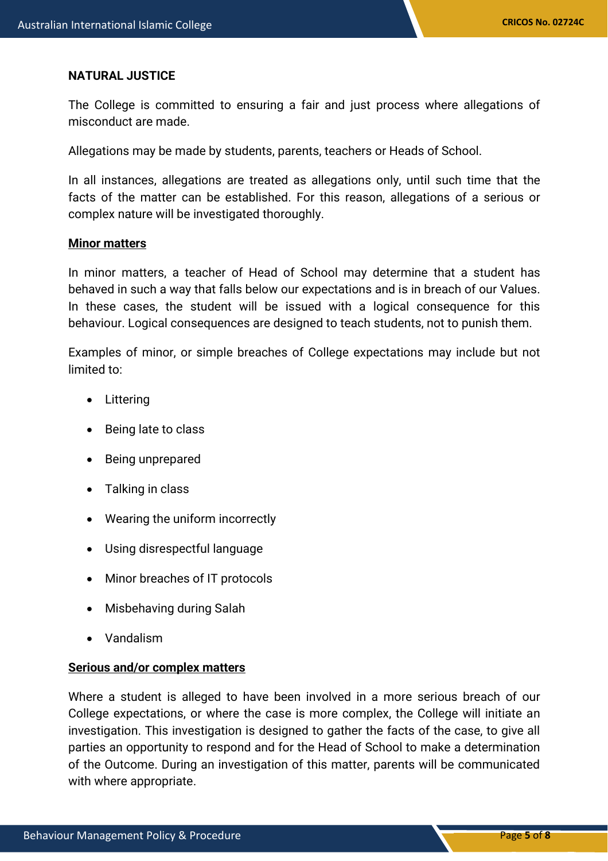#### **NATURAL JUSTICE**

The College is committed to ensuring a fair and just process where allegations of misconduct are made.

Allegations may be made by students, parents, teachers or Heads of School.

In all instances, allegations are treated as allegations only, until such time that the facts of the matter can be established. For this reason, allegations of a serious or complex nature will be investigated thoroughly.

#### **Minor matters**

In minor matters, a teacher of Head of School may determine that a student has behaved in such a way that falls below our expectations and is in breach of our Values. In these cases, the student will be issued with a logical consequence for this behaviour. Logical consequences are designed to teach students, not to punish them.

Examples of minor, or simple breaches of College expectations may include but not limited to:

- **Littering**
- Being late to class
- Being unprepared
- Talking in class
- Wearing the uniform incorrectly
- Using disrespectful language
- Minor breaches of IT protocols
- Misbehaving during Salah
- Vandalism

#### **Serious and/or complex matters**

Where a student is alleged to have been involved in a more serious breach of our College expectations, or where the case is more complex, the College will initiate an investigation. This investigation is designed to gather the facts of the case, to give all parties an opportunity to respond and for the Head of School to make a determination of the Outcome. During an investigation of this matter, parents will be communicated with where appropriate.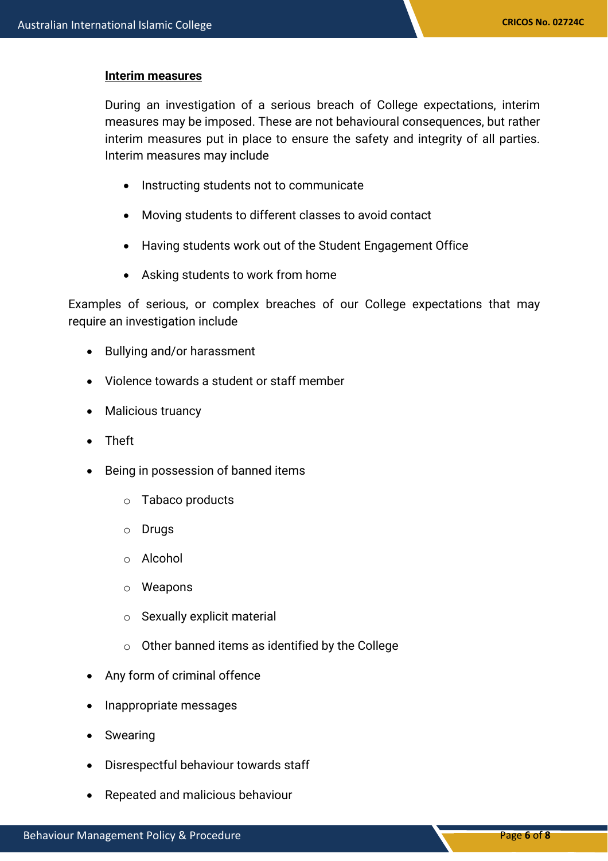#### **Interim measures**

During an investigation of a serious breach of College expectations, interim measures may be imposed. These are not behavioural consequences, but rather interim measures put in place to ensure the safety and integrity of all parties. Interim measures may include

- Instructing students not to communicate
- Moving students to different classes to avoid contact
- Having students work out of the Student Engagement Office
- Asking students to work from home

Examples of serious, or complex breaches of our College expectations that may require an investigation include

- Bullying and/or harassment
- Violence towards a student or staff member
- Malicious truancy
- Theft
- Being in possession of banned items
	- o Tabaco products
	- o Drugs
	- o Alcohol
	- o Weapons
	- o Sexually explicit material
	- $\circ$  Other banned items as identified by the College
- Any form of criminal offence
- Inappropriate messages
- Swearing
- Disrespectful behaviour towards staff
- Repeated and malicious behaviour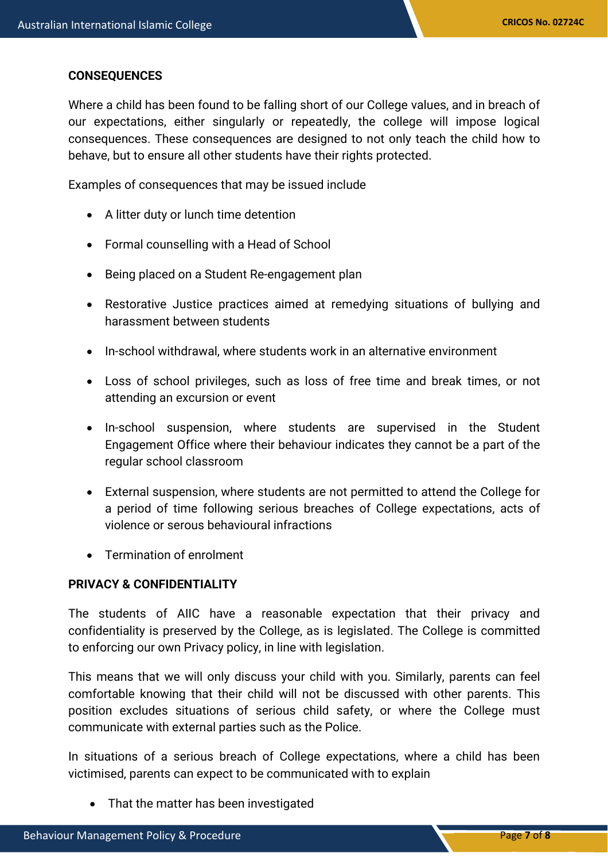# **CONSEQUENCES**

Where a child has been found to be falling short of our College values, and in breach of our expectations, either singularly or repeatedly, the college will impose logical consequences. These consequences are designed to not only teach the child how to behave, but to ensure all other students have their rights protected.

Examples of consequences that may be issued include

- A litter duty or lunch time detention
- Formal counselling with a Head of School
- Being placed on a Student Re-engagement plan
- Restorative Justice practices aimed at remedying situations of bullying and harassment between students
- In-school withdrawal, where students work in an alternative environment
- Loss of school privileges, such as loss of free time and break times, or not attending an excursion or event
- In-school suspension, where students are supervised in the Student Engagement Office where their behaviour indicates they cannot be a part of the regular school classroom
- External suspension, where students are not permitted to attend the College for a period of time following serious breaches of College expectations, acts of violence or serous behavioural infractions
- Termination of enrolment

# **PRIVACY & CONFIDENTIALITY**

The students of AIIC have a reasonable expectation that their privacy and confidentiality is preserved by the College, as is legislated. The College is committed to enforcing our own Privacy policy, in line with legislation.

This means that we will only discuss your child with you. Similarly, parents can feel comfortable knowing that their child will not be discussed with other parents. This position excludes situations of serious child safety, or where the College must communicate with external parties such as the Police.

In situations of a serious breach of College expectations, where a child has been victimised, parents can expect to be communicated with to explain

• That the matter has been investigated